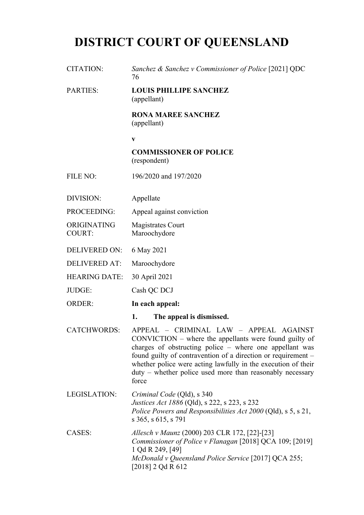# **DISTRICT COURT OF QUEENSLAND**

| <b>CITATION:</b>             | Sanchez & Sanchez v Commissioner of Police [2021] QDC<br>76                                                                                                                                                                                                                                                                                                         |
|------------------------------|---------------------------------------------------------------------------------------------------------------------------------------------------------------------------------------------------------------------------------------------------------------------------------------------------------------------------------------------------------------------|
| <b>PARTIES:</b>              | <b>LOUIS PHILLIPE SANCHEZ</b><br>(appellant)                                                                                                                                                                                                                                                                                                                        |
|                              | <b>RONA MAREE SANCHEZ</b><br>(appellant)                                                                                                                                                                                                                                                                                                                            |
|                              | $\mathbf{V}$                                                                                                                                                                                                                                                                                                                                                        |
|                              | <b>COMMISSIONER OF POLICE</b><br>(respondent)                                                                                                                                                                                                                                                                                                                       |
| <b>FILE NO:</b>              | 196/2020 and 197/2020                                                                                                                                                                                                                                                                                                                                               |
| DIVISION:                    | Appellate                                                                                                                                                                                                                                                                                                                                                           |
| PROCEEDING:                  | Appeal against conviction                                                                                                                                                                                                                                                                                                                                           |
| ORIGINATING<br><b>COURT:</b> | Magistrates Court<br>Maroochydore                                                                                                                                                                                                                                                                                                                                   |
| <b>DELIVERED ON:</b>         | 6 May 2021                                                                                                                                                                                                                                                                                                                                                          |
| <b>DELIVERED AT:</b>         | Maroochydore                                                                                                                                                                                                                                                                                                                                                        |
| <b>HEARING DATE:</b>         | 30 April 2021                                                                                                                                                                                                                                                                                                                                                       |
| JUDGE:                       | Cash QC DCJ                                                                                                                                                                                                                                                                                                                                                         |
| <b>ORDER:</b>                | In each appeal:                                                                                                                                                                                                                                                                                                                                                     |
|                              | 1.<br>The appeal is dismissed.                                                                                                                                                                                                                                                                                                                                      |
| <b>CATCHWORDS:</b>           | APPEAL - CRIMINAL LAW - APPEAL AGAINST<br>CONVICTION - where the appellants were found guilty of<br>charges of obstructing police – where one appellant was<br>found guilty of contravention of a direction or requirement –<br>whether police were acting lawfully in the execution of their<br>duty – whether police used more than reasonably necessary<br>force |
| <b>LEGISLATION:</b>          | <i>Criminal Code</i> (Qld), s 340<br><i>Justices Act 1886</i> (Qld), s 222, s 223, s 232<br>Police Powers and Responsibilities Act 2000 (Qld), s 5, s 21,<br>s 365, s 615, s 791                                                                                                                                                                                    |
| CASES:                       | Allesch v Maunz (2000) 203 CLR 172, [22]-[23]<br>Commissioner of Police v Flanagan [2018] QCA 109; [2019]<br>1 Qd R 249, [49]<br>McDonald v Queensland Police Service [2017] QCA 255;<br>[2018] 2 Qd R 612                                                                                                                                                          |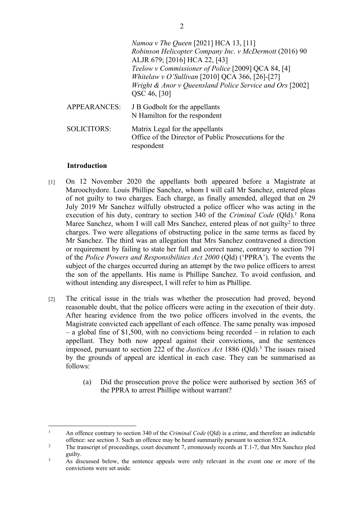|              | <i>Namoa v The Queen</i> [2021] HCA 13, [11]<br>Robinson Helicopter Company Inc. v McDermott (2016) 90<br>ALJR 679; [2016] HCA 22, [43]<br>Teelow v Commissioner of Police [2009] QCA 84, [4]<br>Whitelaw v O'Sullivan [2010] QCA 366, [26]-[27]<br>Wright & Anor v Queensland Police Service and Ors [2002]<br>QSC 46, [30] |
|--------------|------------------------------------------------------------------------------------------------------------------------------------------------------------------------------------------------------------------------------------------------------------------------------------------------------------------------------|
| APPEARANCES: | J B Godbolt for the appellants<br>N Hamilton for the respondent                                                                                                                                                                                                                                                              |
| SOLICITORS:  | Matrix Legal for the appellants<br>Office of the Director of Public Prosecutions for the<br>respondent                                                                                                                                                                                                                       |

### **Introduction**

- [1] On 12 November 2020 the appellants both appeared before a Magistrate at Maroochydore. Louis Phillipe Sanchez, whom I will call Mr Sanchez, entered pleas of not guilty to two charges. Each charge, as finally amended, alleged that on 29 July 2019 Mr Sanchez wilfully obstructed a police officer who was acting in the execution of his duty, contrary to section 340 of the *Criminal Code* (Qld).<sup>1</sup> Rona Maree Sanchez, whom I will call Mrs Sanchez, entered pleas of not guilty<sup>2</sup> to three charges. Two were allegations of obstructing police in the same terms as faced by Mr Sanchez. The third was an allegation that Mrs Sanchez contravened a direction or requirement by failing to state her full and correct name, contrary to section 791 of the *Police Powers and Responsibilities Act 2000* (Qld) ('PPRA'). The events the subject of the charges occurred during an attempt by the two police officers to arrest the son of the appellants. His name is Phillipe Sanchez. To avoid confusion, and without intending any disrespect, I will refer to him as Phillipe.
- [2] The critical issue in the trials was whether the prosecution had proved, beyond reasonable doubt, that the police officers were acting in the execution of their duty. After hearing evidence from the two police officers involved in the events, the Magistrate convicted each appellant of each offence. The same penalty was imposed – a global fine of \$1,500, with no convictions being recorded – in relation to each appellant. They both now appeal against their convictions, and the sentences imposed, pursuant to section 222 of the *Justices Act* 1886 (Qld).<sup>3</sup> The issues raised by the grounds of appeal are identical in each case. They can be summarised as follows:
	- (a) Did the prosecution prove the police were authorised by section 365 of the PPRA to arrest Phillipe without warrant?

<sup>1</sup> An offence contrary to section 340 of the *Criminal Code* (Qld) is a crime, and therefore an indictable offence: see section 3. Such an offence may be heard summarily pursuant to section 552A.

 $\overline{2}$  The transcript of proceedings, court document 7, erroneously records at T.1-7, that Mrs Sanchez pled guilty.

<sup>3</sup> As discussed below, the sentence appeals were only relevant in the event one or more of the convictions were set aside.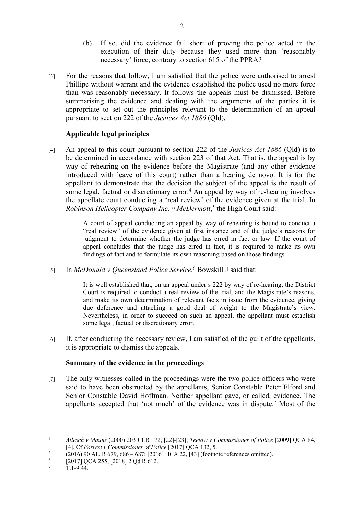- (b) If so, did the evidence fall short of proving the police acted in the execution of their duty because they used more than 'reasonably necessary' force, contrary to section 615 of the PPRA?
- [3] For the reasons that follow, I am satisfied that the police were authorised to arrest Phillipe without warrant and the evidence established the police used no more force than was reasonably necessary. It follows the appeals must be dismissed. Before summarising the evidence and dealing with the arguments of the parties it is appropriate to set out the principles relevant to the determination of an appeal pursuant to section 222 of the *Justices Act 1886* (Qld).

## **Applicable legal principles**

[4] An appeal to this court pursuant to section 222 of the *Justices Act 1886* (Qld) is to be determined in accordance with section 223 of that Act. That is, the appeal is by way of rehearing on the evidence before the Magistrate (and any other evidence introduced with leave of this court) rather than a hearing de novo. It is for the appellant to demonstrate that the decision the subject of the appeal is the result of some legal, factual or discretionary error.<sup>4</sup> An appeal by way of re-hearing involves the appellate court conducting a 'real review' of the evidence given at the trial. In Robinson Helicopter Company Inc. v McDermott,<sup>5</sup> the High Court said:

> A court of appeal conducting an appeal by way of rehearing is bound to conduct a "real review" of the evidence given at first instance and of the judge's reasons for judgment to determine whether the judge has erred in fact or law. If the court of appeal concludes that the judge has erred in fact, it is required to make its own findings of fact and to formulate its own reasoning based on those findings.

[5] In *McDonald v Queensland Police Service*,<sup>6</sup> Bowskill J said that:

It is well established that, on an appeal under s 222 by way of re-hearing, the District Court is required to conduct a real review of the trial, and the Magistrate's reasons, and make its own determination of relevant facts in issue from the evidence, giving due deference and attaching a good deal of weight to the Magistrate's view. Nevertheless, in order to succeed on such an appeal, the appellant must establish some legal, factual or discretionary error.

[6] If, after conducting the necessary review, I am satisfied of the guilt of the appellants, it is appropriate to dismiss the appeals.

## **Summary of the evidence in the proceedings**

[7] The only witnesses called in the proceedings were the two police officers who were said to have been obstructed by the appellants, Senior Constable Peter Elford and Senior Constable David Hoffman. Neither appellant gave, or called, evidence. The appellants accepted that 'not much' of the evidence was in dispute.<sup>7</sup> Most of the

<sup>4</sup> *Allesch v Maunz* (2000) 203 CLR 172, [22]-[23]; *Teelow v Commissioner of Police* [2009] QCA 84, [4]. Cf *Forrest v Commissioner of Police* [2017] QCA 132, 5.

<sup>5</sup> (2016) 90 ALJR 679, 686 – 687; [2016] HCA 22, [43] (footnote references omitted).

<sup>6</sup> [2017] QCA 255; [2018] 2 Qd R 612.

<sup>7</sup> T.1-9.44.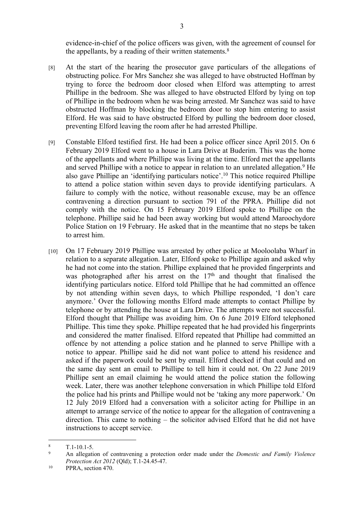evidence-in-chief of the police officers was given, with the agreement of counsel for the appellants, by a reading of their written statements. $8$ 

- [8] At the start of the hearing the prosecutor gave particulars of the allegations of obstructing police. For Mrs Sanchez she was alleged to have obstructed Hoffman by trying to force the bedroom door closed when Elford was attempting to arrest Phillipe in the bedroom. She was alleged to have obstructed Elford by lying on top of Phillipe in the bedroom when he was being arrested. Mr Sanchez was said to have obstructed Hoffman by blocking the bedroom door to stop him entering to assist Elford. He was said to have obstructed Elford by pulling the bedroom door closed, preventing Elford leaving the room after he had arrested Phillipe.
- [9] Constable Elford testified first. He had been a police officer since April 2015. On 6 February 2019 Elford went to a house in Lara Drive at Buderim. This was the home of the appellants and where Phillipe was living at the time. Elford met the appellants and served Phillipe with a notice to appear in relation to an unrelated allegation.<sup>9</sup> He also gave Phillipe an 'identifying particulars notice'.<sup>10</sup> This notice required Phillipe to attend a police station within seven days to provide identifying particulars. A failure to comply with the notice, without reasonable excuse, may be an offence contravening a direction pursuant to section 791 of the PPRA. Phillipe did not comply with the notice. On 15 February 2019 Elford spoke to Phillipe on the telephone. Phillipe said he had been away working but would attend Maroochydore Police Station on 19 February. He asked that in the meantime that no steps be taken to arrest him.
- [10] On 17 February 2019 Phillipe was arrested by other police at Mooloolaba Wharf in relation to a separate allegation. Later, Elford spoke to Phillipe again and asked why he had not come into the station. Phillipe explained that he provided fingerprints and was photographed after his arrest on the  $17<sup>th</sup>$  and thought that finalised the identifying particulars notice. Elford told Phillipe that he had committed an offence by not attending within seven days, to which Phillipe responded, 'I don't care anymore.' Over the following months Elford made attempts to contact Phillipe by telephone or by attending the house at Lara Drive. The attempts were not successful. Elford thought that Phillipe was avoiding him. On 6 June 2019 Elford telephoned Phillipe. This time they spoke. Phillipe repeated that he had provided his fingerprints and considered the matter finalised. Elford repeated that Phillipe had committed an offence by not attending a police station and he planned to serve Phillipe with a notice to appear. Phillipe said he did not want police to attend his residence and asked if the paperwork could be sent by email. Elford checked if that could and on the same day sent an email to Phillipe to tell him it could not. On 22 June 2019 Phillipe sent an email claiming he would attend the police station the following week. Later, there was another telephone conversation in which Phillipe told Elford the police had his prints and Phillipe would not be 'taking any more paperwork.' On 12 July 2019 Elford had a conversation with a solicitor acting for Phillipe in an attempt to arrange service of the notice to appear for the allegation of contravening a direction. This came to nothing – the solicitor advised Elford that he did not have instructions to accept service.

<sup>8</sup> T.1-10.1-5.

<sup>9</sup> An allegation of contravening a protection order made under the *Domestic and Family Violence Protection Act 2012* (Qld); T.1-24.45-47.

<sup>&</sup>lt;sup>10</sup> PPRA, section 470.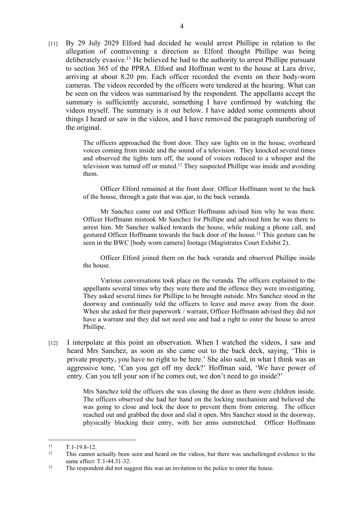[11] By 29 July 2029 Elford had decided he would arrest Phillipe in relation to the allegation of contravening a direction as Elford thought Phillipe was being deliberately evasive.<sup>11</sup> He believed he had to the authority to arrest Phillipe pursuant to section 365 of the PPRA. Elford and Hoffman went to the house at Lara drive, arriving at about 8.20 pm. Each officer recorded the events on their body-worn cameras. The videos recorded by the officers were tendered at the hearing. What can be seen on the videos was summarised by the respondent. The appellants accept the summary is sufficiently accurate, something I have confirmed by watching the videos myself. The summary is it out below. I have added some comments about things I heard or saw in the videos, and I have removed the paragraph numbering of the original.

> The officers approached the front door. They saw lights on in the house, overheard voices coming from inside and the sound of a television. They knocked several times and observed the lights turn off, the sound of voices reduced to a whisper and the television was turned off or muted.<sup>12</sup> They suspected Phillipe was inside and avoiding them.

> Officer Elford remained at the front door. Officer Hoffmann went to the back of the house, through a gate that was ajar, to the back veranda.

> Mr Sanchez came out and Officer Hoffmann advised him why he was there. Officer Hoffmann mistook Mr Sanchez for Phillipe and advised him he was there to arrest him. Mr Sanchez walked towards the house, while making a phone call, and gestured Officer Hoffmann towards the back door of the house.<sup>13</sup> This gesture can be seen in the BWC [body worn camera] footage (Magistrates Court Exhibit 2).

> Officer Elford joined them on the back veranda and observed Phillipe inside the house.

> Various conversations took place on the veranda. The officers explained to the appellants several times why they were there and the offence they were investigating. They asked several times for Phillipe to be brought outside. Mrs Sanchez stood in the doorway and continually told the officers to leave and move away from the door. When she asked for their paperwork / warrant, Officer Hoffmann advised they did not have a warrant and they did not need one and had a right to enter the house to arrest Phillipe.

[12] I interpolate at this point an observation. When I watched the videos, I saw and heard Mrs Sanchez, as soon as she came out to the back deck, saying, 'This is private property, you have no right to be here.' She also said, in what I think was an aggressive tone, 'Can you get off my deck?' Hoffman said, 'We have power of entry. Can you tell your son if he comes out, we don't need to go inside?'

> Mrs Sanchez told the officers she was closing the door as there were children inside. The officers observed she had her hand on the locking mechanism and believed she was going to close and lock the door to prevent them from entering. The officer reached out and grabbed the door and slid it open. Mrs Sanchez stood in the doorway, physically blocking their entry, with her arms outstretched. Officer Hoffmann

 $11$  T.1-19.8-12.

<sup>12</sup> This cannot actually been seen and heard on the videos, but there was unchallenged evidence to the same effect: T.1-44.31-32.

<sup>&</sup>lt;sup>13</sup> The respondent did not suggest this was an invitation to the police to enter the house.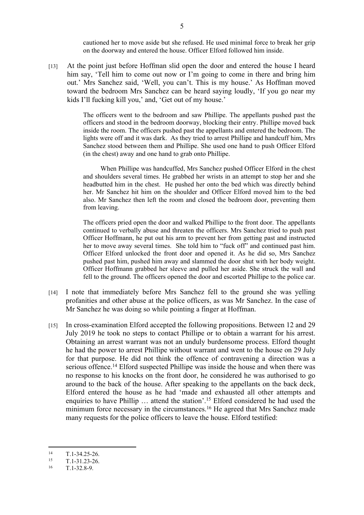cautioned her to move aside but she refused. He used minimal force to break her grip on the doorway and entered the house. Officer Elford followed him inside.

[13] At the point just before Hoffman slid open the door and entered the house I heard him say, 'Tell him to come out now or I'm going to come in there and bring him out.' Mrs Sanchez said, 'Well, you can't. This is my house.' As Hoffman moved toward the bedroom Mrs Sanchez can be heard saying loudly, 'If you go near my kids I'll fucking kill you,' and, 'Get out of my house.'

> The officers went to the bedroom and saw Phillipe. The appellants pushed past the officers and stood in the bedroom doorway, blocking their entry. Phillipe moved back inside the room. The officers pushed past the appellants and entered the bedroom. The lights were off and it was dark. As they tried to arrest Phillipe and handcuff him, Mrs Sanchez stood between them and Phillipe. She used one hand to push Officer Elford (in the chest) away and one hand to grab onto Phillipe.

> When Phillipe was handcuffed, Mrs Sanchez pushed Officer Elford in the chest and shoulders several times. He grabbed her wrists in an attempt to stop her and she headbutted him in the chest. He pushed her onto the bed which was directly behind her. Mr Sanchez hit him on the shoulder and Officer Elford moved him to the bed also. Mr Sanchez then left the room and closed the bedroom door, preventing them from leaving.

> The officers pried open the door and walked Phillipe to the front door. The appellants continued to verbally abuse and threaten the officers. Mrs Sanchez tried to push past Officer Hoffmann, he put out his arm to prevent her from getting past and instructed her to move away several times. She told him to "fuck off" and continued past him. Officer Elford unlocked the front door and opened it. As he did so, Mrs Sanchez pushed past him, pushed him away and slammed the door shut with her body weight. Officer Hoffmann grabbed her sleeve and pulled her aside. She struck the wall and fell to the ground. The officers opened the door and escorted Phillipe to the police car.

- [14] I note that immediately before Mrs Sanchez fell to the ground she was yelling profanities and other abuse at the police officers, as was Mr Sanchez. In the case of Mr Sanchez he was doing so while pointing a finger at Hoffman.
- [15] In cross-examination Elford accepted the following propositions. Between 12 and 29 July 2019 he took no steps to contact Phillipe or to obtain a warrant for his arrest. Obtaining an arrest warrant was not an unduly burdensome process. Elford thought he had the power to arrest Phillipe without warrant and went to the house on 29 July for that purpose. He did not think the offence of contravening a direction was a serious offence.<sup>14</sup> Elford suspected Phillipe was inside the house and when there was no response to his knocks on the front door, he considered he was authorised to go around to the back of the house. After speaking to the appellants on the back deck, Elford entered the house as he had 'made and exhausted all other attempts and enquiries to have Phillip … attend the station'.<sup>15</sup> Elford considered he had used the minimum force necessary in the circumstances.<sup>16</sup> He agreed that Mrs Sanchez made many requests for the police officers to leave the house. Elford testified:

 $14$  T.1-34.25-26.<br>15 T.1.21.22.26

 $T.1 - 31.23 - 26.$ 

<sup>16</sup> T.1-32.8-9.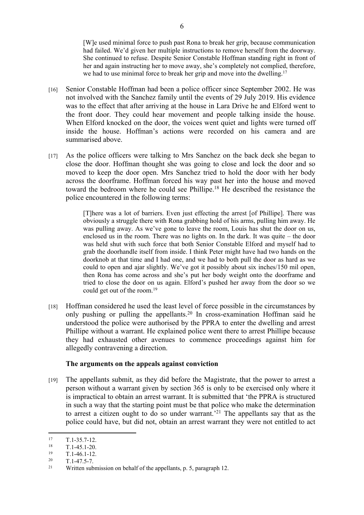[W]e used minimal force to push past Rona to break her grip, because communication had failed. We'd given her multiple instructions to remove herself from the doorway. She continued to refuse. Despite Senior Constable Hoffman standing right in front of her and again instructing her to move away, she's completely not complied, therefore, we had to use minimal force to break her grip and move into the dwelling.<sup>17</sup>

- [16] Senior Constable Hoffman had been a police officer since September 2002. He was not involved with the Sanchez family until the events of 29 July 2019. His evidence was to the effect that after arriving at the house in Lara Drive he and Elford went to the front door. They could hear movement and people talking inside the house. When Elford knocked on the door, the voices went quiet and lights were turned off inside the house. Hoffman's actions were recorded on his camera and are summarised above.
- [17] As the police officers were talking to Mrs Sanchez on the back deck she began to close the door. Hoffman thought she was going to close and lock the door and so moved to keep the door open. Mrs Sanchez tried to hold the door with her body across the doorframe. Hoffman forced his way past her into the house and moved toward the bedroom where he could see Phillipe.<sup>18</sup> He described the resistance the police encountered in the following terms:

[T]here was a lot of barriers. Even just effecting the arrest [of Phillipe]. There was obviously a struggle there with Rona grabbing hold of his arms, pulling him away. He was pulling away. As we've gone to leave the room, Louis has shut the door on us, enclosed us in the room. There was no lights on. In the dark. It was quite – the door was held shut with such force that both Senior Constable Elford and myself had to grab the doorhandle itself from inside. I think Peter might have had two hands on the doorknob at that time and I had one, and we had to both pull the door as hard as we could to open and ajar slightly. We've got it possibly about six inches/150 mil open, then Rona has come across and she's put her body weight onto the doorframe and tried to close the door on us again. Elford's pushed her away from the door so we could get out of the room.<sup>19</sup>

[18] Hoffman considered he used the least level of force possible in the circumstances by only pushing or pulling the appellants.<sup>20</sup> In cross-examination Hoffman said he understood the police were authorised by the PPRA to enter the dwelling and arrest Phillipe without a warrant. He explained police went there to arrest Phillipe because they had exhausted other avenues to commence proceedings against him for allegedly contravening a direction.

### **The arguments on the appeals against conviction**

[19] The appellants submit, as they did before the Magistrate, that the power to arrest a person without a warrant given by section 365 is only to be exercised only where it is impractical to obtain an arrest warrant. It is submitted that 'the PPRA is structured in such a way that the starting point must be that police who make the determination to arrest a citizen ought to do so under warrant.'<sup>21</sup> The appellants say that as the police could have, but did not, obtain an arrest warrant they were not entitled to act

 $17$  T.1-35.7-12.<br>  $18$  T.1-45.1-20

 $\frac{18}{19}$  T.1-45.1-20.

 $\frac{19}{20}$  T.1-46.1-12.

 $T.1-47.5-7.$ 

<sup>&</sup>lt;sup>21</sup> Written submission on behalf of the appellants, p. 5, paragraph 12.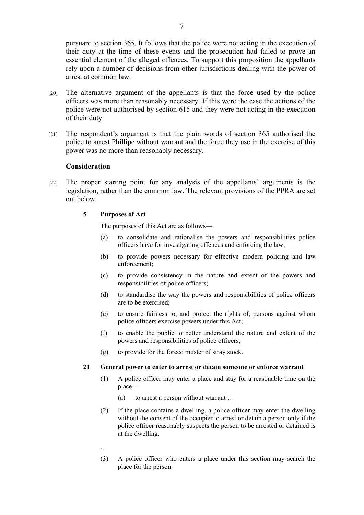pursuant to section 365. It follows that the police were not acting in the execution of their duty at the time of these events and the prosecution had failed to prove an essential element of the alleged offences. To support this proposition the appellants rely upon a number of decisions from other jurisdictions dealing with the power of arrest at common law.

- [20] The alternative argument of the appellants is that the force used by the police officers was more than reasonably necessary. If this were the case the actions of the police were not authorised by section 615 and they were not acting in the execution of their duty.
- [21] The respondent's argument is that the plain words of section 365 authorised the police to arrest Phillipe without warrant and the force they use in the exercise of this power was no more than reasonably necessary.

#### **Consideration**

[22] The proper starting point for any analysis of the appellants' arguments is the legislation, rather than the common law. The relevant provisions of the PPRA are set out below.

#### **5 Purposes of Act**

The purposes of this Act are as follows—

- (a) to consolidate and rationalise the powers and responsibilities police officers have for investigating offences and enforcing the law;
- (b) to provide powers necessary for effective modern policing and law enforcement;
- (c) to provide consistency in the nature and extent of the powers and responsibilities of police officers;
- (d) to standardise the way the powers and responsibilities of police officers are to be exercised;
- (e) to ensure fairness to, and protect the rights of, persons against whom police officers exercise powers under this Act;
- (f) to enable the public to better understand the nature and extent of the powers and responsibilities of police officers;
- (g) to provide for the forced muster of stray stock.

#### **21 General power to enter to arrest or detain someone or enforce warrant**

- (1) A police officer may enter a place and stay for a reasonable time on the place—
	- (a) to arrest a person without warrant …
- (2) If the place contains a dwelling, a police officer may enter the dwelling without the consent of the occupier to arrest or detain a person only if the police officer reasonably suspects the person to be arrested or detained is at the dwelling.
- …
- (3) A police officer who enters a place under this section may search the place for the person.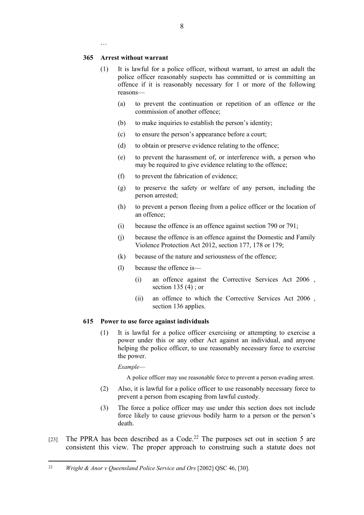#### **365 Arrest without warrant**

…

- (1) It is lawful for a police officer, without warrant, to arrest an adult the police officer reasonably suspects has committed or is committing an offence if it is reasonably necessary for 1 or more of the following reasons—
	- (a) to prevent the continuation or repetition of an offence or the commission of another offence;
	- (b) to make inquiries to establish the person's identity;
	- (c) to ensure the person's appearance before a court;
	- (d) to obtain or preserve evidence relating to the offence;
	- (e) to prevent the harassment of, or interference with, a person who may be required to give evidence relating to the offence;
	- (f) to prevent the fabrication of evidence;
	- (g) to preserve the safety or welfare of any person, including the person arrested;
	- (h) to prevent a person fleeing from a police officer or the location of an offence;
	- (i) because the offence is an offence against section 790 or 791;
	- (j) because the offence is an offence against the Domestic and Family Violence Protection Act 2012, section 177, 178 or 179;
	- (k) because of the nature and seriousness of the offence;
	- (l) because the offence is—
		- (i) an offence against the Corrective Services Act 2006 , section 135 (4) ; or
		- (ii) an offence to which the Corrective Services Act 2006 , section 136 applies.

#### **615 Power to use force against individuals**

(1) It is lawful for a police officer exercising or attempting to exercise a power under this or any other Act against an individual, and anyone helping the police officer, to use reasonably necessary force to exercise the power.

*Example*—

A police officer may use reasonable force to prevent a person evading arrest.

- (2) Also, it is lawful for a police officer to use reasonably necessary force to prevent a person from escaping from lawful custody.
- (3) The force a police officer may use under this section does not include force likely to cause grievous bodily harm to a person or the person's death.
- [23] The PPRA has been described as a Code.<sup>22</sup> The purposes set out in section 5 are consistent this view. The proper approach to construing such a statute does not

<sup>22</sup> *Wright & Anor v Queensland Police Service and Ors* [2002] QSC 46, [30].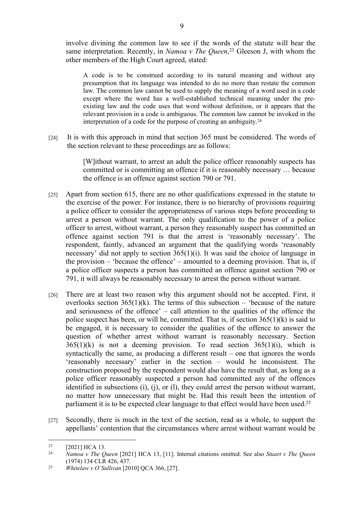involve divining the common law to see if the words of the statute will bear the same interpretation. Recently, in *Namoa v The Queen*, <sup>23</sup> Gleeson J, with whom the other members of the High Court agreed, stated:

A code is to be construed according to its natural meaning and without any presumption that its language was intended to do no more than restate the common law. The common law cannot be used to supply the meaning of a word used in a code except where the word has a well-established technical meaning under the preexisting law and the code uses that word without definition, or it appears that the relevant provision in a code is ambiguous. The common law cannot be invoked in the interpretation of a code for the purpose of creating an ambiguity.<sup>24</sup>

[24] It is with this approach in mind that section 365 must be considered. The words of the section relevant to these proceedings are as follows:

> [W]ithout warrant, to arrest an adult the police officer reasonably suspects has committed or is committing an offence if it is reasonably necessary … because the offence is an offence against section 790 or 791.

- [25] Apart from section 615, there are no other qualifications expressed in the statute to the exercise of the power. For instance, there is no hierarchy of provisions requiring a police officer to consider the appropriateness of various steps before proceeding to arrest a person without warrant. The only qualification to the power of a police officer to arrest, without warrant, a person they reasonably suspect has committed an offence against section 791 is that the arrest is 'reasonably necessary'. The respondent, faintly, advanced an argument that the qualifying words 'reasonably necessary' did not apply to section 365(1)(i). It was said the choice of language in the provision – 'because the offence' – amounted to a deeming provision. That is, if a police officer suspects a person has committed an offence against section 790 or 791, it will always be reasonably necessary to arrest the person without warrant.
- [26] There are at least two reason why this argument should not be accepted. First, it overlooks section  $365(1)(k)$ . The terms of this subsection – 'because of the nature and seriousness of the offence' – call attention to the qualities of the offence the police suspect has been, or will be, committed. That is, if section  $365(1)(k)$  is said to be engaged, it is necessary to consider the qualities of the offence to answer the question of whether arrest without warrant is reasonably necessary. Section  $365(1)(k)$  is not a deeming provision. To read section  $365(1)(i)$ , which is syntactically the same, as producing a different result – one that ignores the words 'reasonably necessary' earlier in the section – would be inconsistent. The construction proposed by the respondent would also have the result that, as long as a police officer reasonably suspected a person had committed any of the offences identified in subsections (i), (j), or (l), they could arrest the person without warrant, no matter how unnecessary that might be. Had this result been the intention of parliament it is to be expected clear language to that effect would have been used.<sup>25</sup>
- [27] Secondly, there is much in the text of the section, read as a whole, to support the appellants' contention that the circumstances where arrest without warrant would be

<sup>&</sup>lt;sup>23</sup> [2021] HCA 13.<br><sup>24</sup> *Names y The O* 

<sup>24</sup> *Namoa v The Queen* [2021] HCA 13, [11]. Internal citations omitted. See also *Stuart v The Queen* (1974) 134 CLR 426, 437.

<sup>25</sup> *Whitelaw v O'Sullivan* [2010] QCA 366, [27].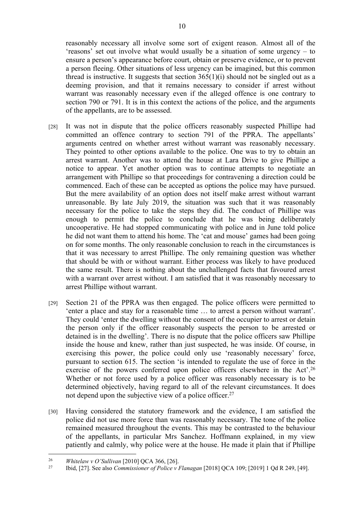reasonably necessary all involve some sort of exigent reason. Almost all of the 'reasons' set out involve what would usually be a situation of some urgency – to ensure a person's appearance before court, obtain or preserve evidence, or to prevent a person fleeing. Other situations of less urgency can be imagined, but this common thread is instructive. It suggests that section  $365(1)(i)$  should not be singled out as a deeming provision, and that it remains necessary to consider if arrest without warrant was reasonably necessary even if the alleged offence is one contrary to section 790 or 791. It is in this context the actions of the police, and the arguments of the appellants, are to be assessed.

- [28] It was not in dispute that the police officers reasonably suspected Phillipe had committed an offence contrary to section 791 of the PPRA. The appellants' arguments centred on whether arrest without warrant was reasonably necessary. They pointed to other options available to the police. One was to try to obtain an arrest warrant. Another was to attend the house at Lara Drive to give Phillipe a notice to appear. Yet another option was to continue attempts to negotiate an arrangement with Phillipe so that proceedings for contravening a direction could be commenced. Each of these can be accepted as options the police may have pursued. But the mere availability of an option does not itself make arrest without warrant unreasonable. By late July 2019, the situation was such that it was reasonably necessary for the police to take the steps they did. The conduct of Phillipe was enough to permit the police to conclude that he was being deliberately uncooperative. He had stopped communicating with police and in June told police he did not want them to attend his home. The 'cat and mouse' games had been going on for some months. The only reasonable conclusion to reach in the circumstances is that it was necessary to arrest Phillipe. The only remaining question was whether that should be with or without warrant. Either process was likely to have produced the same result. There is nothing about the unchallenged facts that favoured arrest with a warrant over arrest without. I am satisfied that it was reasonably necessary to arrest Phillipe without warrant.
- [29] Section 21 of the PPRA was then engaged. The police officers were permitted to 'enter a place and stay for a reasonable time … to arrest a person without warrant'. They could 'enter the dwelling without the consent of the occupier to arrest or detain the person only if the officer reasonably suspects the person to be arrested or detained is in the dwelling'. There is no dispute that the police officers saw Phillipe inside the house and knew, rather than just suspected, he was inside. Of course, in exercising this power, the police could only use 'reasonably necessary' force, pursuant to section 615. The section 'is intended to regulate the use of force in the exercise of the powers conferred upon police officers elsewhere in the Act'.<sup>26</sup> Whether or not force used by a police officer was reasonably necessary is to be determined objectively, having regard to all of the relevant circumstances. It does not depend upon the subjective view of a police officer.<sup>27</sup>
- [30] Having considered the statutory framework and the evidence, I am satisfied the police did not use more force than was reasonably necessary. The tone of the police remained measured throughout the events. This may be contrasted to the behaviour of the appellants, in particular Mrs Sanchez. Hoffmann explained, in my view patiently and calmly, why police were at the house. He made it plain that if Phillipe

<sup>&</sup>lt;sup>26</sup> *Whitelaw v O'Sullivan* [2010] QCA 366, [26].<br><sup>27</sup> **Ibid.** [27] See also Commissioner of Police y b

<sup>27</sup> Ibid, [27]. See also *Commissioner of Police v Flanagan* [2018] QCA 109; [2019] 1 Qd R 249, [49].